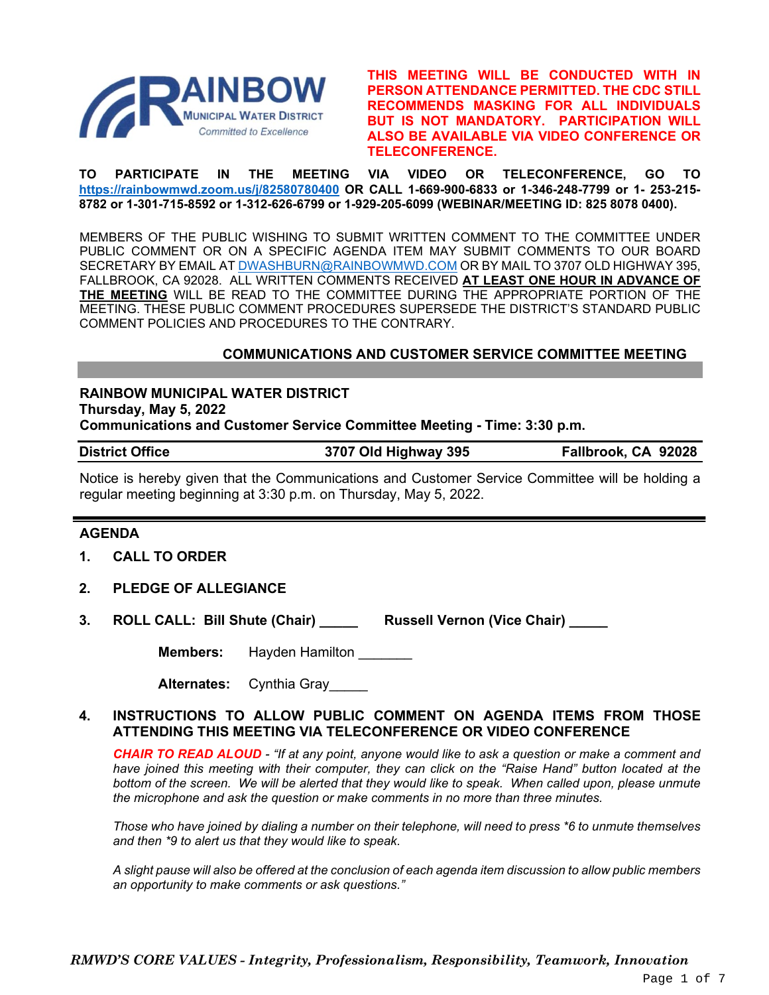

**THIS MEETING WILL BE CONDUCTED WITH IN PERSON ATTENDANCE PERMITTED. THE CDC STILL RECOMMENDS MASKING FOR ALL INDIVIDUALS BUT IS NOT MANDATORY. PARTICIPATION WILL ALSO BE AVAILABLE VIA VIDEO CONFERENCE OR TELECONFERENCE.**

**TO PARTICIPATE IN THE MEETING VIA VIDEO OR TELECONFERENCE, GO TO <https://rainbowmwd.zoom.us/j/82580780400> OR CALL 1-669-900-6833 or 1-346-248-7799 or 1- 253-215- 8782 or 1-301-715-8592 or 1-312-626-6799 or 1-929-205-6099 (WEBINAR/MEETING ID: 825 8078 0400).**

MEMBERS OF THE PUBLIC WISHING TO SUBMIT WRITTEN COMMENT TO THE COMMITTEE UNDER PUBLIC COMMENT OR ON A SPECIFIC AGENDA ITEM MAY SUBMIT COMMENTS TO OUR BOARD SECRETARY BY EMAIL A[T DWASHBURN@RAINBOWMWD.COM](mailto:DWASHBURN@RAINBOWMWD.COM) OR BY MAIL TO 3707 OLD HIGHWAY 395, FALLBROOK, CA 92028. ALL WRITTEN COMMENTS RECEIVED **AT LEAST ONE HOUR IN ADVANCE OF THE MEETING** WILL BE READ TO THE COMMITTEE DURING THE APPROPRIATE PORTION OF THE MEETING. THESE PUBLIC COMMENT PROCEDURES SUPERSEDE THE DISTRICT'S STANDARD PUBLIC COMMENT POLICIES AND PROCEDURES TO THE CONTRARY.

### **COMMUNICATIONS AND CUSTOMER SERVICE COMMITTEE MEETING**

### **RAINBOW MUNICIPAL WATER DISTRICT Thursday, May 5, 2022**

**Communications and Customer Service Committee Meeting - Time: 3:30 p.m.**

| <b>District Office</b> | 3707 Old Highway 395 | Fallbrook, CA 92028 |
|------------------------|----------------------|---------------------|
|------------------------|----------------------|---------------------|

Notice is hereby given that the Communications and Customer Service Committee will be holding a regular meeting beginning at 3:30 p.m. on Thursday, May 5, 2022.

### **AGENDA**

- **1. CALL TO ORDER**
- **2. PLEDGE OF ALLEGIANCE**
- **3. ROLL CALL: Bill Shute (Chair) \_\_\_\_\_ Russell Vernon (Vice Chair) \_\_\_\_\_**

**Members:** Hayden Hamilton

| <b>Alternates:</b> | Cynthia Gray |  |
|--------------------|--------------|--|
|--------------------|--------------|--|

### **4. INSTRUCTIONS TO ALLOW PUBLIC COMMENT ON AGENDA ITEMS FROM THOSE ATTENDING THIS MEETING VIA TELECONFERENCE OR VIDEO CONFERENCE**

*CHAIR TO READ ALOUD - "If at any point, anyone would like to ask a question or make a comment and have joined this meeting with their computer, they can click on the "Raise Hand" button located at the bottom of the screen. We will be alerted that they would like to speak. When called upon, please unmute the microphone and ask the question or make comments in no more than three minutes.*

*Those who have joined by dialing a number on their telephone, will need to press \*6 to unmute themselves and then \*9 to alert us that they would like to speak.*

*A slight pause will also be offered at the conclusion of each agenda item discussion to allow public members an opportunity to make comments or ask questions."*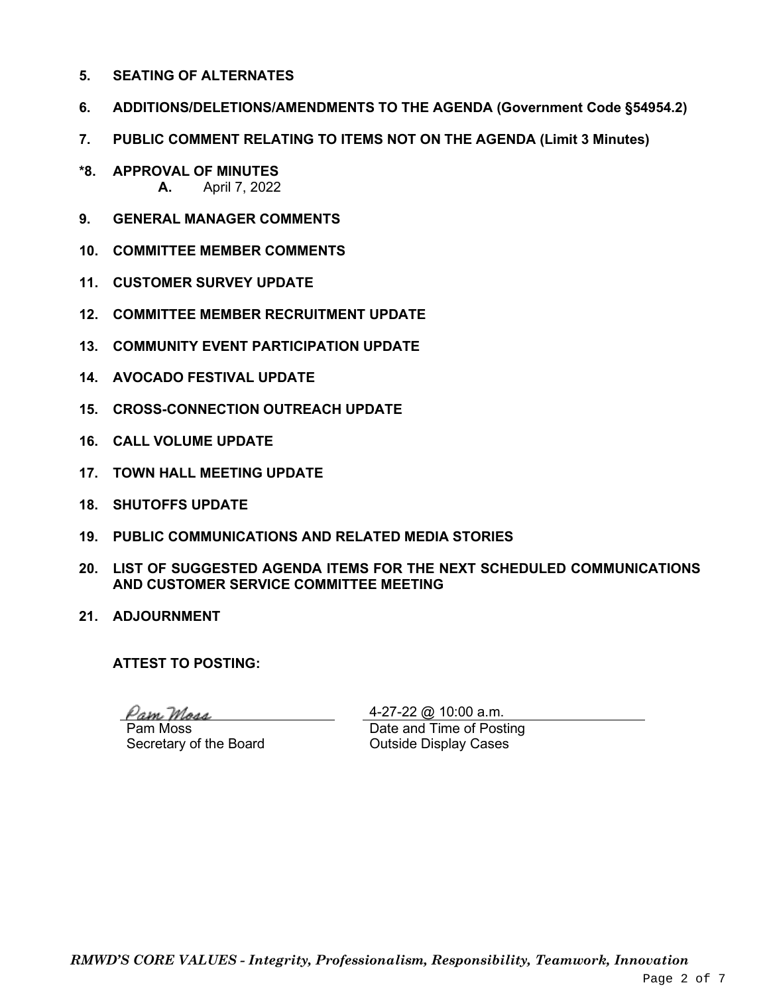- **5. SEATING OF ALTERNATES**
- **6. ADDITIONS/DELETIONS/AMENDMENTS TO THE AGENDA (Government Code §54954.2)**
- **7. PUBLIC COMMENT RELATING TO ITEMS NOT ON THE AGENDA (Limit 3 Minutes)**
- **\*8. APPROVAL OF MINUTES A.** April 7, 2022
- **9. GENERAL MANAGER COMMENTS**
- **10. COMMITTEE MEMBER COMMENTS**
- **11. CUSTOMER SURVEY UPDATE**
- **12. COMMITTEE MEMBER RECRUITMENT UPDATE**
- **13. COMMUNITY EVENT PARTICIPATION UPDATE**
- **14. AVOCADO FESTIVAL UPDATE**
- **15. CROSS-CONNECTION OUTREACH UPDATE**
- **16. CALL VOLUME UPDATE**
- **17. TOWN HALL MEETING UPDATE**
- **18. SHUTOFFS UPDATE**
- **19. PUBLIC COMMUNICATIONS AND RELATED MEDIA STORIES**
- **20. LIST OF SUGGESTED AGENDA ITEMS FOR THE NEXT SCHEDULED COMMUNICATIONS AND CUSTOMER SERVICE COMMITTEE MEETING**
- **21. ADJOURNMENT**

**ATTEST TO POSTING:**

Pam Maar

Pam Moss Secretary of the Board

4-27-22 @ 10:00 a.m. Date and Time of Posting Outside Display Cases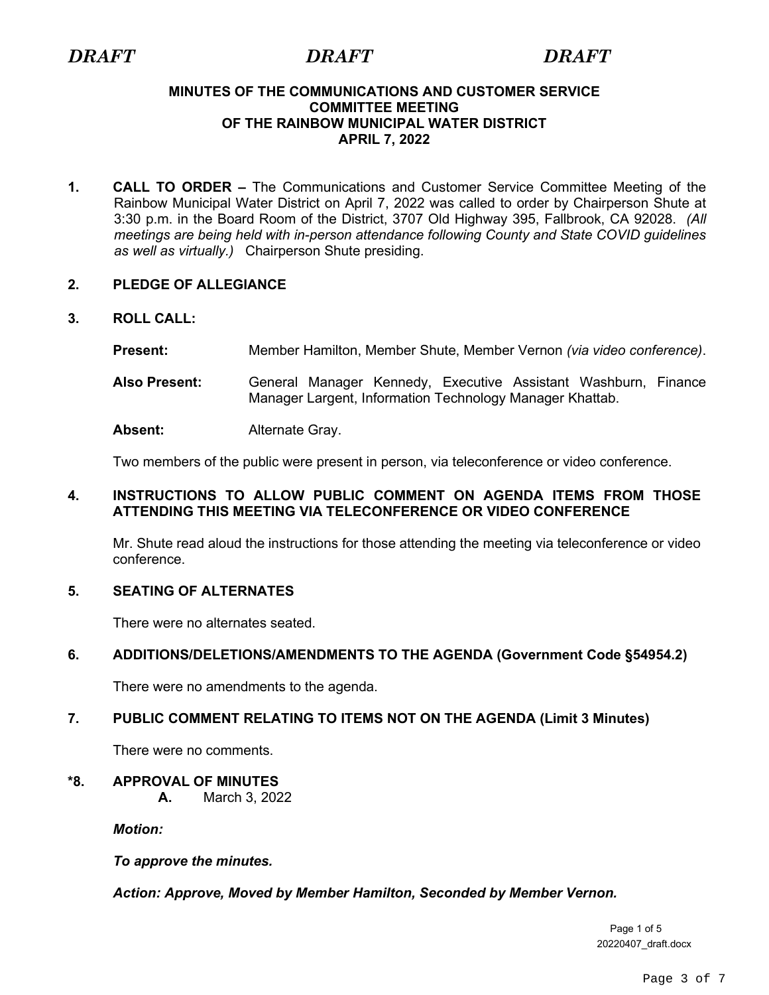### **MINUTES OF THE COMMUNICATIONS AND CUSTOMER SERVICE COMMITTEE MEETING OF THE RAINBOW MUNICIPAL WATER DISTRICT APRIL 7, 2022**

**1. CALL TO ORDER –** The Communications and Customer Service Committee Meeting of the Rainbow Municipal Water District on April 7, 2022 was called to order by Chairperson Shute at 3:30 p.m. in the Board Room of the District, 3707 Old Highway 395, Fallbrook, CA 92028. *(All meetings are being held with in-person attendance following County and State COVID guidelines as well as virtually.)* Chairperson Shute presiding.

### **2. PLEDGE OF ALLEGIANCE**

### **3. ROLL CALL:**

- **Present:** Member Hamilton, Member Shute, Member Vernon *(via video conference)*.
- **Also Present:** General Manager Kennedy, Executive Assistant Washburn, Finance Manager Largent, Information Technology Manager Khattab.

Absent: Alternate Gray.

Two members of the public were present in person, via teleconference or video conference.

### **4. INSTRUCTIONS TO ALLOW PUBLIC COMMENT ON AGENDA ITEMS FROM THOSE ATTENDING THIS MEETING VIA TELECONFERENCE OR VIDEO CONFERENCE**

Mr. Shute read aloud the instructions for those attending the meeting via teleconference or video conference.

### **5. SEATING OF ALTERNATES**

There were no alternates seated.

### **6. ADDITIONS/DELETIONS/AMENDMENTS TO THE AGENDA (Government Code §54954.2)**

There were no amendments to the agenda.

### **7. PUBLIC COMMENT RELATING TO ITEMS NOT ON THE AGENDA (Limit 3 Minutes)**

There were no comments.

### **\*8. APPROVAL OF MINUTES**

**A.** March 3, 2022

*Motion:* 

*To approve the minutes.*

*Action: Approve, Moved by Member Hamilton, Seconded by Member Vernon.*

Page 1 of 5 20220407\_draft.docx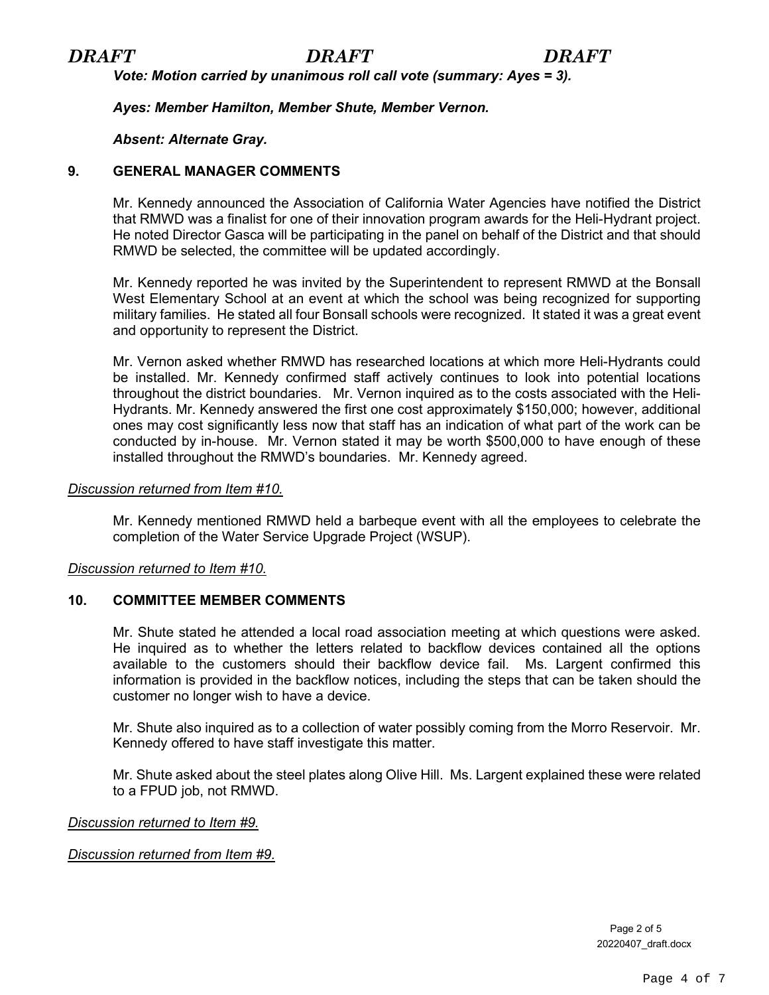*Vote: Motion carried by unanimous roll call vote (summary: Ayes = 3).*

*Ayes: Member Hamilton, Member Shute, Member Vernon.*

### *Absent: Alternate Gray.*

### **9. GENERAL MANAGER COMMENTS**

Mr. Kennedy announced the Association of California Water Agencies have notified the District that RMWD was a finalist for one of their innovation program awards for the Heli-Hydrant project. He noted Director Gasca will be participating in the panel on behalf of the District and that should RMWD be selected, the committee will be updated accordingly.

Mr. Kennedy reported he was invited by the Superintendent to represent RMWD at the Bonsall West Elementary School at an event at which the school was being recognized for supporting military families. He stated all four Bonsall schools were recognized. It stated it was a great event and opportunity to represent the District.

Mr. Vernon asked whether RMWD has researched locations at which more Heli-Hydrants could be installed. Mr. Kennedy confirmed staff actively continues to look into potential locations throughout the district boundaries. Mr. Vernon inquired as to the costs associated with the Heli-Hydrants. Mr. Kennedy answered the first one cost approximately \$150,000; however, additional ones may cost significantly less now that staff has an indication of what part of the work can be conducted by in-house. Mr. Vernon stated it may be worth \$500,000 to have enough of these installed throughout the RMWD's boundaries. Mr. Kennedy agreed.

### *Discussion returned from Item #10.*

Mr. Kennedy mentioned RMWD held a barbeque event with all the employees to celebrate the completion of the Water Service Upgrade Project (WSUP).

### *Discussion returned to Item #10.*

### **10. COMMITTEE MEMBER COMMENTS**

Mr. Shute stated he attended a local road association meeting at which questions were asked. He inquired as to whether the letters related to backflow devices contained all the options available to the customers should their backflow device fail. Ms. Largent confirmed this information is provided in the backflow notices, including the steps that can be taken should the customer no longer wish to have a device.

Mr. Shute also inquired as to a collection of water possibly coming from the Morro Reservoir. Mr. Kennedy offered to have staff investigate this matter.

Mr. Shute asked about the steel plates along Olive Hill. Ms. Largent explained these were related to a FPUD job, not RMWD.

*Discussion returned to Item #9.*

*Discussion returned from Item #9.*

Page 2 of 5 20220407\_draft.docx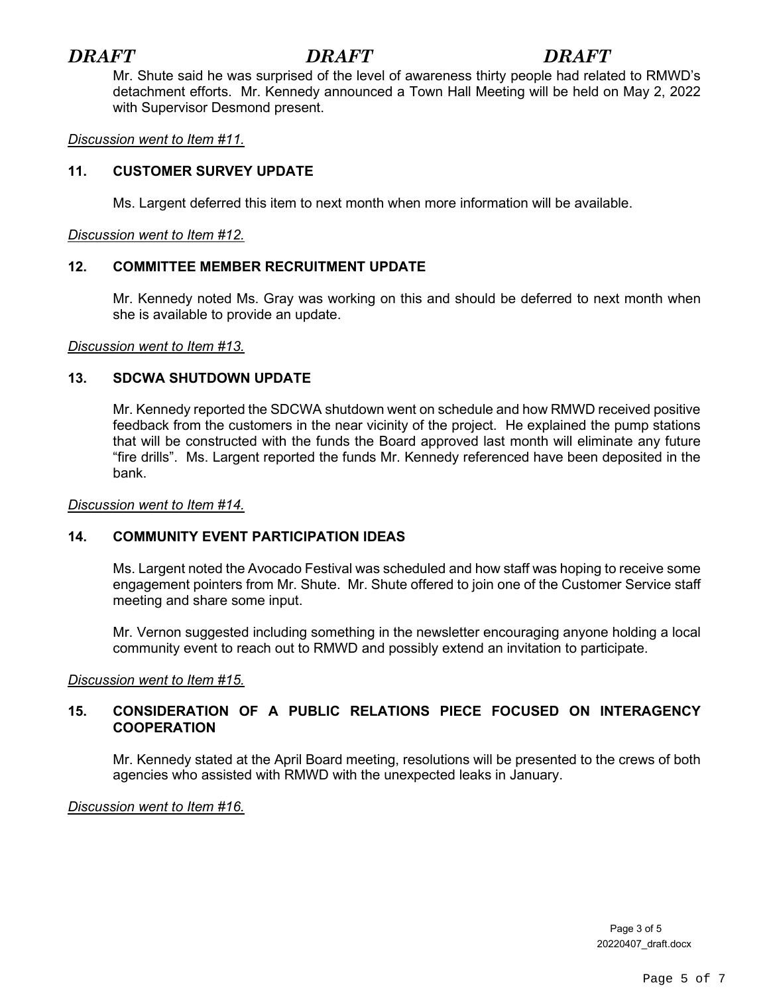# *DRAFT DRAFT DRAFT*

Mr. Shute said he was surprised of the level of awareness thirty people had related to RMWD's detachment efforts. Mr. Kennedy announced a Town Hall Meeting will be held on May 2, 2022 with Supervisor Desmond present.

### *Discussion went to Item #11.*

### **11. CUSTOMER SURVEY UPDATE**

Ms. Largent deferred this item to next month when more information will be available.

### *Discussion went to Item #12.*

### **12. COMMITTEE MEMBER RECRUITMENT UPDATE**

Mr. Kennedy noted Ms. Gray was working on this and should be deferred to next month when she is available to provide an update.

*Discussion went to Item #13.*

### **13. SDCWA SHUTDOWN UPDATE**

Mr. Kennedy reported the SDCWA shutdown went on schedule and how RMWD received positive feedback from the customers in the near vicinity of the project. He explained the pump stations that will be constructed with the funds the Board approved last month will eliminate any future "fire drills". Ms. Largent reported the funds Mr. Kennedy referenced have been deposited in the bank.

*Discussion went to Item #14.*

### **14. COMMUNITY EVENT PARTICIPATION IDEAS**

Ms. Largent noted the Avocado Festival was scheduled and how staff was hoping to receive some engagement pointers from Mr. Shute. Mr. Shute offered to join one of the Customer Service staff meeting and share some input.

Mr. Vernon suggested including something in the newsletter encouraging anyone holding a local community event to reach out to RMWD and possibly extend an invitation to participate.

*Discussion went to Item #15.*

### **15. CONSIDERATION OF A PUBLIC RELATIONS PIECE FOCUSED ON INTERAGENCY COOPERATION**

Mr. Kennedy stated at the April Board meeting, resolutions will be presented to the crews of both agencies who assisted with RMWD with the unexpected leaks in January.

*Discussion went to Item #16.*

Page 3 of 5 20220407\_draft.docx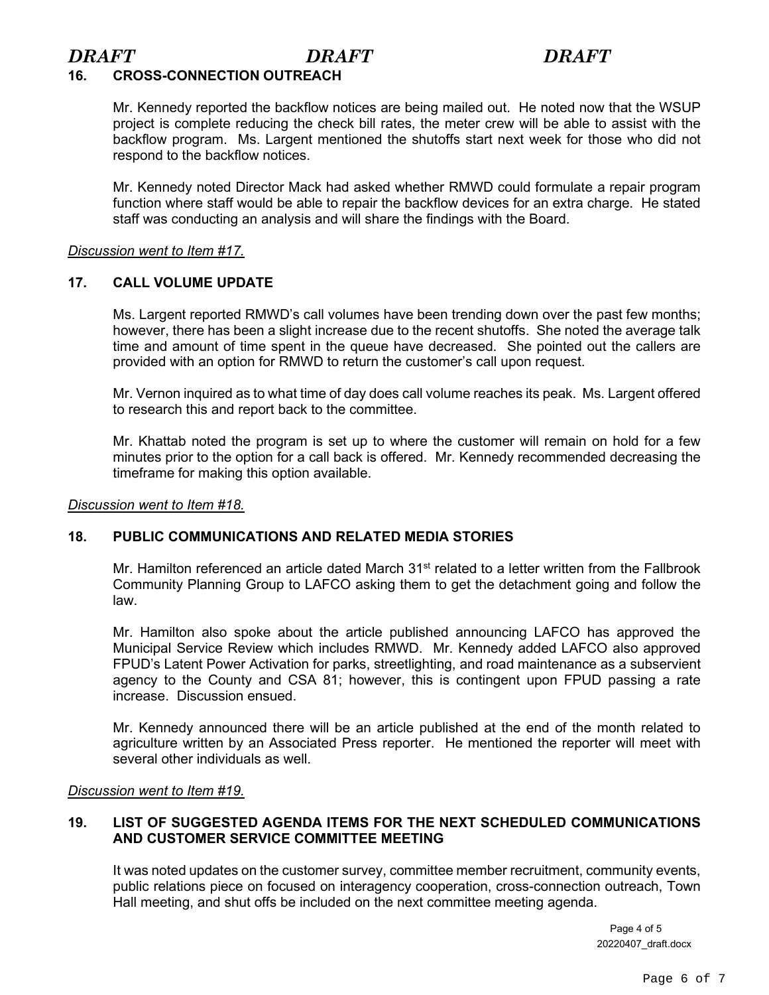# *DRAFT DRAFT DRAFT*

## **16. CROSS-CONNECTION OUTREACH**

Mr. Kennedy reported the backflow notices are being mailed out. He noted now that the WSUP project is complete reducing the check bill rates, the meter crew will be able to assist with the backflow program. Ms. Largent mentioned the shutoffs start next week for those who did not respond to the backflow notices.

Mr. Kennedy noted Director Mack had asked whether RMWD could formulate a repair program function where staff would be able to repair the backflow devices for an extra charge. He stated staff was conducting an analysis and will share the findings with the Board.

### *Discussion went to Item #17.*

### **17. CALL VOLUME UPDATE**

Ms. Largent reported RMWD's call volumes have been trending down over the past few months; however, there has been a slight increase due to the recent shutoffs. She noted the average talk time and amount of time spent in the queue have decreased. She pointed out the callers are provided with an option for RMWD to return the customer's call upon request.

Mr. Vernon inquired as to what time of day does call volume reaches its peak. Ms. Largent offered to research this and report back to the committee.

Mr. Khattab noted the program is set up to where the customer will remain on hold for a few minutes prior to the option for a call back is offered. Mr. Kennedy recommended decreasing the timeframe for making this option available.

*Discussion went to Item #18.*

### **18. PUBLIC COMMUNICATIONS AND RELATED MEDIA STORIES**

Mr. Hamilton referenced an article dated March  $31<sup>st</sup>$  related to a letter written from the Fallbrook Community Planning Group to LAFCO asking them to get the detachment going and follow the law.

Mr. Hamilton also spoke about the article published announcing LAFCO has approved the Municipal Service Review which includes RMWD. Mr. Kennedy added LAFCO also approved FPUD's Latent Power Activation for parks, streetlighting, and road maintenance as a subservient agency to the County and CSA 81; however, this is contingent upon FPUD passing a rate increase. Discussion ensued.

Mr. Kennedy announced there will be an article published at the end of the month related to agriculture written by an Associated Press reporter. He mentioned the reporter will meet with several other individuals as well.

### *Discussion went to Item #19.*

### **19. LIST OF SUGGESTED AGENDA ITEMS FOR THE NEXT SCHEDULED COMMUNICATIONS AND CUSTOMER SERVICE COMMITTEE MEETING**

It was noted updates on the customer survey, committee member recruitment, community events, public relations piece on focused on interagency cooperation, cross-connection outreach, Town Hall meeting, and shut offs be included on the next committee meeting agenda.

> Page 4 of 5 20220407\_draft.docx